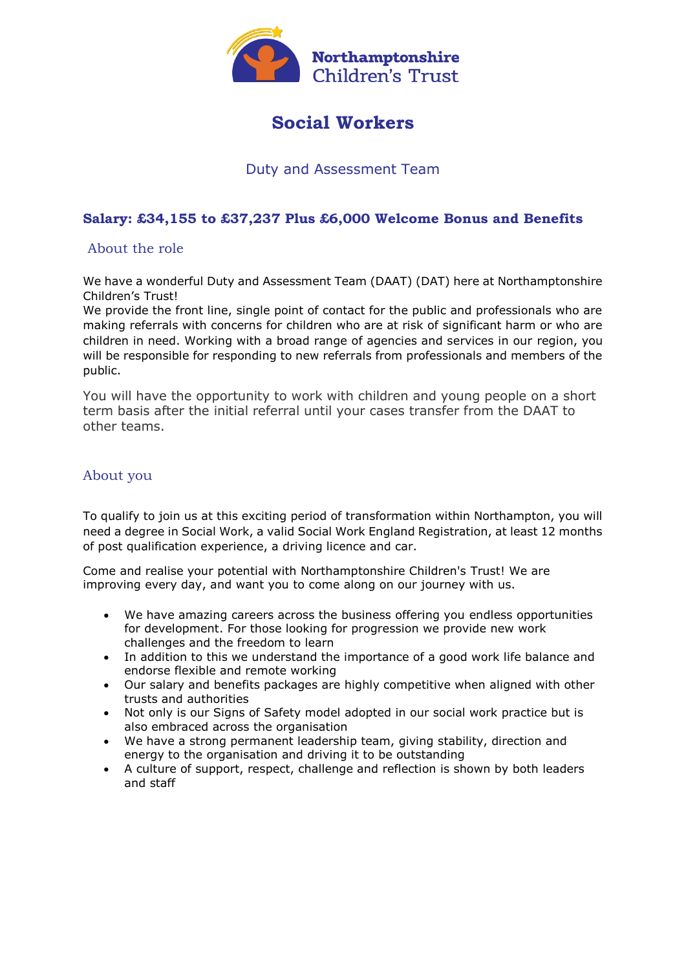

# **Social Workers**

### Duty and Assessment Team

#### **Salary: £34,155 to £37,237 Plus £6,000 Welcome Bonus and Benefits**

#### About the role

We have a wonderful Duty and Assessment Team (DAAT) (DAT) here at Northamptonshire Children's Trust!

We provide the front line, single point of contact for the public and professionals who are making referrals with concerns for children who are at risk of significant harm or who are children in need. Working with a broad range of agencies and services in our region, you will be responsible for responding to new referrals from professionals and members of the public.

You will have the opportunity to work with children and young people on a short term basis after the initial referral until your cases transfer from the DAAT to other teams.

#### About you

To qualify to join us at this exciting period of transformation within Northampton, you will need a degree in Social Work, a valid Social Work England Registration, at least 12 months of post qualification experience, a driving licence and car.

Come and realise your potential with Northamptonshire Children's Trust! We are improving every day, and want you to come along on our journey with us.

- We have amazing careers across the business offering you endless opportunities for development. For those looking for progression we provide new work challenges and the freedom to learn
- In addition to this we understand the importance of a good work life balance and endorse flexible and remote working
- Our salary and benefits packages are highly competitive when aligned with other trusts and authorities
- Not only is our Signs of Safety model adopted in our social work practice but is also embraced across the organisation
- We have a strong permanent leadership team, giving stability, direction and energy to the organisation and driving it to be outstanding
- A culture of support, respect, challenge and reflection is shown by both leaders and staff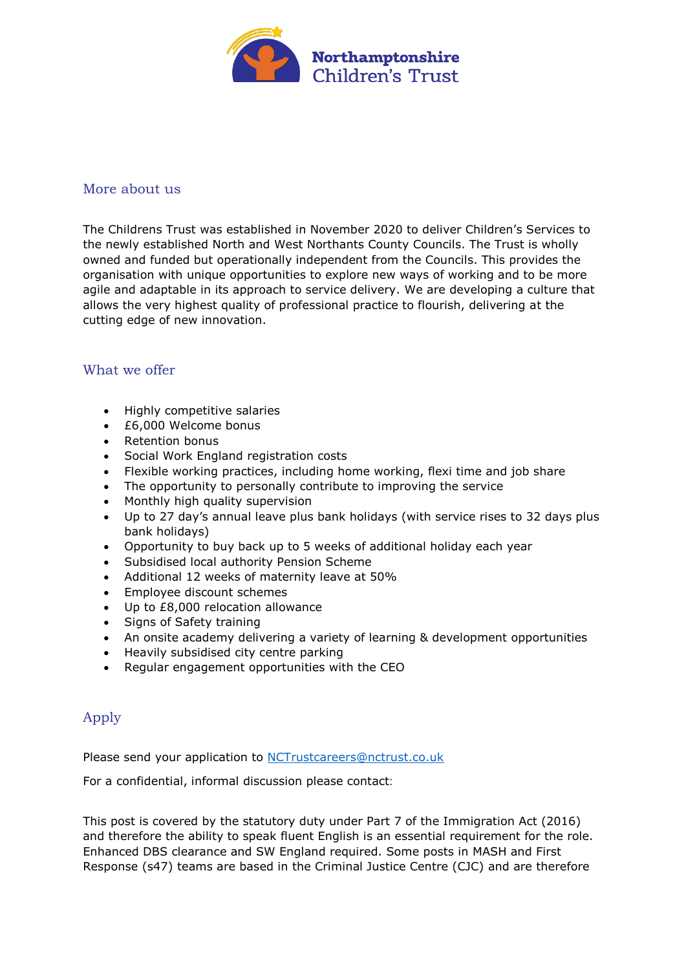

#### More about us

The Childrens Trust was established in November 2020 to deliver Children's Services to the newly established North and West Northants County Councils. The Trust is wholly owned and funded but operationally independent from the Councils. This provides the organisation with unique opportunities to explore new ways of working and to be more agile and adaptable in its approach to service delivery. We are developing a culture that allows the very highest quality of professional practice to flourish, delivering at the cutting edge of new innovation.

#### What we offer

- Highly competitive salaries
- £6,000 Welcome bonus
- Retention bonus
- Social Work England registration costs
- Flexible working practices, including home working, flexi time and job share
- The opportunity to personally contribute to improving the service
- Monthly high quality supervision
- Up to 27 day's annual leave plus bank holidays (with service rises to 32 days plus bank holidays)
- Opportunity to buy back up to 5 weeks of additional holiday each year
- Subsidised local authority Pension Scheme
- Additional 12 weeks of maternity leave at 50%
- Employee discount schemes
- Up to £8,000 relocation allowance
- Signs of Safety training
- An onsite academy delivering a variety of learning & development opportunities
- Heavily subsidised city centre parking
- Regular engagement opportunities with the CEO

## Apply

Please send your application to [NCTrustcareers@nctrust.co.uk](mailto:NCTrustcareers@nctrust.co.uk)

For a confidential, informal discussion please contact:

This post is covered by the statutory duty under Part 7 of the Immigration Act (2016) and therefore the ability to speak fluent English is an essential requirement for the role. Enhanced DBS clearance and SW England required. Some posts in MASH and First Response (s47) teams are based in the Criminal Justice Centre (CJC) and are therefore